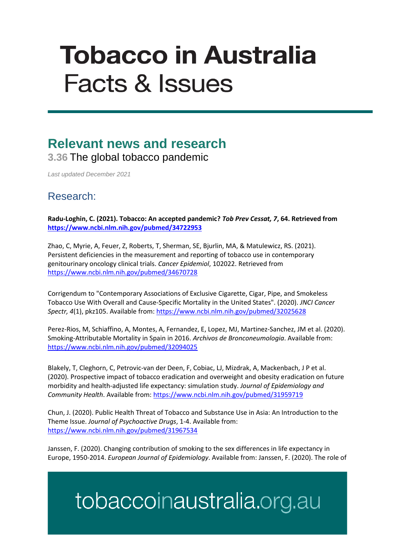# **Tobacco in Australia Facts & Issues**

### **Relevant news and research 3.36** The global tobacco pandemic

*Last updated December 2021*

#### Research:

**Radu-Loghin, C. (2021). Tobacco: An accepted pandemic?** *Tob Prev Cessat, 7***, 64. Retrieved from <https://www.ncbi.nlm.nih.gov/pubmed/34722953>**

Zhao, C, Myrie, A, Feuer, Z, Roberts, T, Sherman, SE, Bjurlin, MA, & Matulewicz, RS. (2021). Persistent deficiencies in the measurement and reporting of tobacco use in contemporary genitourinary oncology clinical trials. *Cancer Epidemiol*, 102022. Retrieved from <https://www.ncbi.nlm.nih.gov/pubmed/34670728>

Corrigendum to "Contemporary Associations of Exclusive Cigarette, Cigar, Pipe, and Smokeless Tobacco Use With Overall and Cause-Specific Mortality in the United States". (2020). *JNCI Cancer Spectr, 4*(1), pkz105. Available from[: https://www.ncbi.nlm.nih.gov/pubmed/32025628](https://www.ncbi.nlm.nih.gov/pubmed/32025628)

Perez-Rios, M, Schiaffino, A, Montes, A, Fernandez, E, Lopez, MJ, Martinez-Sanchez, JM et al. (2020). Smoking-Attributable Mortality in Spain in 2016. *Archivos de Bronconeumologia*. Available from: <https://www.ncbi.nlm.nih.gov/pubmed/32094025>

Blakely, T, Cleghorn, C, Petrovic-van der Deen, F, Cobiac, LJ, Mizdrak, A, Mackenbach, J P et al. (2020). Prospective impact of tobacco eradication and overweight and obesity eradication on future morbidity and health-adjusted life expectancy: simulation study. *Journal of Epidemiology and Community Health*. Available from:<https://www.ncbi.nlm.nih.gov/pubmed/31959719>

Chun, J. (2020). Public Health Threat of Tobacco and Substance Use in Asia: An Introduction to the Theme Issue. *Journal of Psychoactive Drugs*, 1-4. Available from: <https://www.ncbi.nlm.nih.gov/pubmed/31967534>

Janssen, F. (2020). Changing contribution of smoking to the sex differences in life expectancy in Europe, 1950-2014. *European Journal of Epidemiology*. Available from: Janssen, F. (2020). The role of

## tobaccoinaustralia.org.au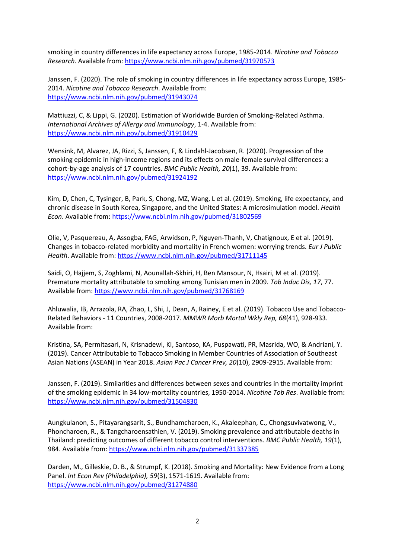smoking in country differences in life expectancy across Europe, 1985-2014. *Nicotine and Tobacco Research*. Available from:<https://www.ncbi.nlm.nih.gov/pubmed/31970573>

Janssen, F. (2020). The role of smoking in country differences in life expectancy across Europe, 1985- 2014. *Nicotine and Tobacco Research*. Available from: <https://www.ncbi.nlm.nih.gov/pubmed/31943074>

Mattiuzzi, C, & Lippi, G. (2020). Estimation of Worldwide Burden of Smoking-Related Asthma. *International Archives of Allergy and Immunology*, 1-4. Available from: <https://www.ncbi.nlm.nih.gov/pubmed/31910429>

Wensink, M, Alvarez, JA, Rizzi, S, Janssen, F, & Lindahl-Jacobsen, R. (2020). Progression of the smoking epidemic in high-income regions and its effects on male-female survival differences: a cohort-by-age analysis of 17 countries. *BMC Public Health, 20*(1), 39. Available from: <https://www.ncbi.nlm.nih.gov/pubmed/31924192>

Kim, D, Chen, C, Tysinger, B, Park, S, Chong, MZ, Wang, L et al. (2019). Smoking, life expectancy, and chronic disease in South Korea, Singapore, and the United States: A microsimulation model. *Health Econ*. Available from:<https://www.ncbi.nlm.nih.gov/pubmed/31802569>

Olie, V, Pasquereau, A, Assogba, FAG, Arwidson, P, Nguyen-Thanh, V, Chatignoux, E et al. (2019). Changes in tobacco-related morbidity and mortality in French women: worrying trends. *Eur J Public*  Health. Available from:<https://www.ncbi.nlm.nih.gov/pubmed/31711145>

Saidi, O, Hajjem, S, Zoghlami, N, Aounallah-Skhiri, H, Ben Mansour, N, Hsairi, M et al. (2019). Premature mortality attributable to smoking among Tunisian men in 2009. *Tob Induc Dis, 17*, 77. Available from[: https://www.ncbi.nlm.nih.gov/pubmed/31768169](https://www.ncbi.nlm.nih.gov/pubmed/31768169)

Ahluwalia, IB, Arrazola, RA, Zhao, L, Shi, J, Dean, A, Rainey, E et al. (2019). Tobacco Use and Tobacco-Related Behaviors - 11 Countries, 2008-2017. *MMWR Morb Mortal Wkly Rep, 68*(41), 928-933. Available from:

Kristina, SA, Permitasari, N, Krisnadewi, KI, Santoso, KA, Puspawati, PR, Masrida, WO, & Andriani, Y. (2019). Cancer Attributable to Tobacco Smoking in Member Countries of Association of Southeast Asian Nations (ASEAN) in Year 2018. *Asian Pac J Cancer Prev, 20*(10), 2909-2915. Available from:

Janssen, F. (2019). Similarities and differences between sexes and countries in the mortality imprint of the smoking epidemic in 34 low-mortality countries, 1950-2014. *Nicotine Tob Res*. Available from: <https://www.ncbi.nlm.nih.gov/pubmed/31504830>

Aungkulanon, S., Pitayarangsarit, S., Bundhamcharoen, K., Akaleephan, C., Chongsuvivatwong, V., Phoncharoen, R., & Tangcharoensathien, V. (2019). Smoking prevalence and attributable deaths in Thailand: predicting outcomes of different tobacco control interventions. *BMC Public Health, 19*(1), 984. Available from:<https://www.ncbi.nlm.nih.gov/pubmed/31337385>

Darden, M., Gilleskie, D. B., & Strumpf, K. (2018). Smoking and Mortality: New Evidence from a Long Panel. *Int Econ Rev (Philadelphia), 59*(3), 1571-1619. Available from: <https://www.ncbi.nlm.nih.gov/pubmed/31274880>